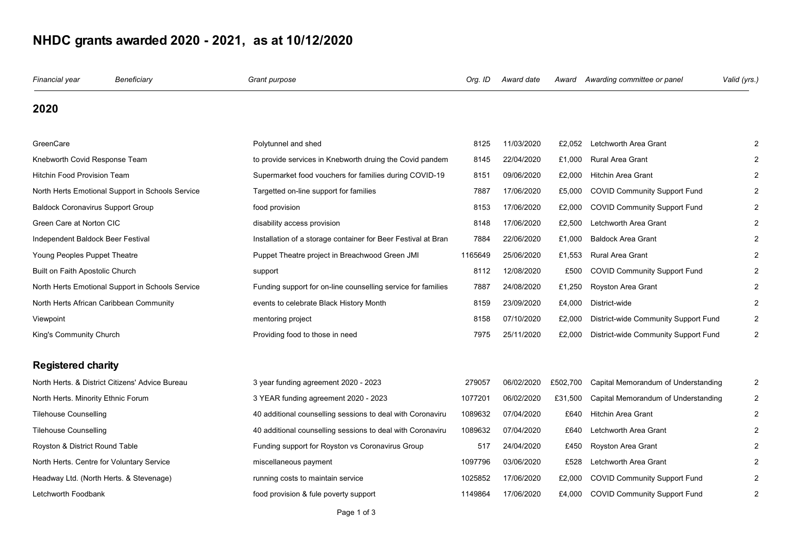## NHDC grants awarded 2020 - 2021, as at 10/12/2020

| Financial year                                   | Beneficiary                                      | Grant purpose                                                 | Org. ID | Award date | Award    | Awarding committee or panel          | Valid (yrs.)   |
|--------------------------------------------------|--------------------------------------------------|---------------------------------------------------------------|---------|------------|----------|--------------------------------------|----------------|
| 2020                                             |                                                  |                                                               |         |            |          |                                      |                |
| GreenCare                                        |                                                  | Polytunnel and shed                                           | 8125    | 11/03/2020 | £2,052   | Letchworth Area Grant                | 2              |
| Knebworth Covid Response Team                    |                                                  | to provide services in Knebworth druing the Covid pandem      | 8145    | 22/04/2020 | £1,000   | <b>Rural Area Grant</b>              | 2              |
| <b>Hitchin Food Provision Team</b>               |                                                  | Supermarket food vouchers for families during COVID-19        | 8151    | 09/06/2020 | £2,000   | <b>Hitchin Area Grant</b>            | 2              |
| North Herts Emotional Support in Schools Service |                                                  | Targetted on-line support for families                        | 7887    | 17/06/2020 | £5,000   | <b>COVID Community Support Fund</b>  | 2              |
| <b>Baldock Coronavirus Support Group</b>         |                                                  | food provision                                                | 8153    | 17/06/2020 | £2.000   | <b>COVID Community Support Fund</b>  | 2              |
| Green Care at Norton CIC                         |                                                  | disability access provision                                   | 8148    | 17/06/2020 | £2,500   | Letchworth Area Grant                | 2              |
| Independent Baldock Beer Festival                |                                                  | Installation of a storage container for Beer Festival at Bran | 7884    | 22/06/2020 | £1,000   | <b>Baldock Area Grant</b>            | 2              |
| Young Peoples Puppet Theatre                     |                                                  | Puppet Theatre project in Breachwood Green JMI                | 1165649 | 25/06/2020 | £1,553   | <b>Rural Area Grant</b>              |                |
| Built on Faith Apostolic Church                  |                                                  | support                                                       | 8112    | 12/08/2020 | £500     | <b>COVID Community Support Fund</b>  | 2              |
|                                                  | North Herts Emotional Support in Schools Service | Funding support for on-line counselling service for families  | 7887    | 24/08/2020 | £1,250   | <b>Royston Area Grant</b>            | 2              |
| North Herts African Caribbean Community          |                                                  | events to celebrate Black History Month                       | 8159    | 23/09/2020 | £4,000   | District-wide                        | $\overline{2}$ |
| Viewpoint                                        |                                                  | mentoring project                                             | 8158    | 07/10/2020 | £2,000   | District-wide Community Support Fund | 2              |
| King's Community Church                          |                                                  | Providing food to those in need                               | 7975    | 25/11/2020 | £2,000   | District-wide Community Support Fund | 2              |
| <b>Registered charity</b>                        |                                                  |                                                               |         |            |          |                                      |                |
|                                                  | North Herts. & District Citizens' Advice Bureau  | 3 year funding agreement 2020 - 2023                          | 279057  | 06/02/2020 | £502,700 | Capital Memorandum of Understanding  | 2              |
| North Herts. Minority Ethnic Forum               |                                                  | 3 YEAR funding agreement 2020 - 2023                          | 1077201 | 06/02/2020 | £31,500  | Capital Memorandum of Understanding  | 2              |
| <b>Tilehouse Counselling</b>                     |                                                  | 40 additional counselling sessions to deal with Coronaviru    | 1089632 | 07/04/2020 | £640     | <b>Hitchin Area Grant</b>            | 2              |
| <b>Tilehouse Counselling</b>                     |                                                  | 40 additional counselling sessions to deal with Coronaviru    | 1089632 | 07/04/2020 | £640     | Letchworth Area Grant                | 2              |
| Royston & District Round Table                   |                                                  | Funding support for Royston vs Coronavirus Group              | 517     | 24/04/2020 | £450     | Royston Area Grant                   |                |
|                                                  | North Herts. Centre for Voluntary Service        | miscellaneous payment                                         | 1097796 | 03/06/2020 | £528     | Letchworth Area Grant                | 2              |
|                                                  | Headway Ltd. (North Herts. & Stevenage)          | running costs to maintain service                             | 1025852 | 17/06/2020 | £2,000   | <b>COVID Community Support Fund</b>  | 2              |
| Letchworth Foodbank                              |                                                  | food provision & fule poverty support                         | 1149864 | 17/06/2020 | £4,000   | <b>COVID Community Support Fund</b>  | $\overline{2}$ |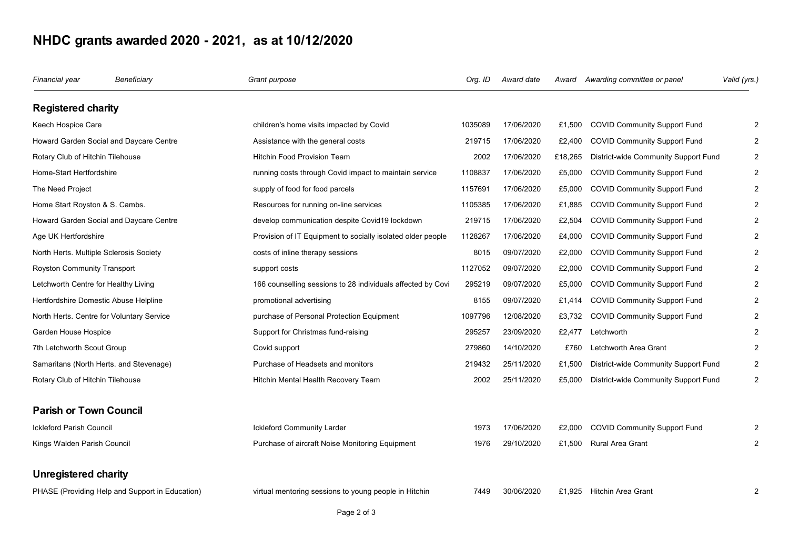## NHDC grants awarded 2020 - 2021, as at 10/12/2020

| Financial year                                  | Beneficiary | Grant purpose                                               | Org. ID | Award date |         | Award Awarding committee or panel    | Valid (yrs.)   |
|-------------------------------------------------|-------------|-------------------------------------------------------------|---------|------------|---------|--------------------------------------|----------------|
| <b>Registered charity</b>                       |             |                                                             |         |            |         |                                      |                |
| Keech Hospice Care                              |             | children's home visits impacted by Covid                    | 1035089 | 17/06/2020 | £1,500  | <b>COVID Community Support Fund</b>  | 2              |
| Howard Garden Social and Daycare Centre         |             | Assistance with the general costs                           | 219715  | 17/06/2020 | £2,400  | <b>COVID Community Support Fund</b>  | 2              |
| Rotary Club of Hitchin Tilehouse                |             | <b>Hitchin Food Provision Team</b>                          | 2002    | 17/06/2020 | £18,265 | District-wide Community Support Fund | 2              |
| Home-Start Hertfordshire                        |             | running costs through Covid impact to maintain service      | 1108837 | 17/06/2020 | £5,000  | <b>COVID Community Support Fund</b>  | $\overline{2}$ |
| The Need Project                                |             | supply of food for food parcels                             | 1157691 | 17/06/2020 | £5,000  | <b>COVID Community Support Fund</b>  | 2              |
| Home Start Royston & S. Cambs.                  |             | Resources for running on-line services                      | 1105385 | 17/06/2020 | £1,885  | <b>COVID Community Support Fund</b>  | 2              |
| Howard Garden Social and Daycare Centre         |             | develop communication despite Covid19 lockdown              | 219715  | 17/06/2020 | £2,504  | <b>COVID Community Support Fund</b>  |                |
| Age UK Hertfordshire                            |             | Provision of IT Equipment to socially isolated older people | 1128267 | 17/06/2020 | £4,000  | <b>COVID Community Support Fund</b>  | 2              |
| North Herts. Multiple Sclerosis Society         |             | costs of inline therapy sessions                            | 8015    | 09/07/2020 | £2,000  | <b>COVID Community Support Fund</b>  | 2              |
| Royston Community Transport                     |             | support costs                                               | 1127052 | 09/07/2020 | £2,000  | <b>COVID Community Support Fund</b>  | 2              |
| Letchworth Centre for Healthy Living            |             | 166 counselling sessions to 28 individuals affected by Covi | 295219  | 09/07/2020 | £5.000  | <b>COVID Community Support Fund</b>  | 2              |
| Hertfordshire Domestic Abuse Helpline           |             | promotional advertising                                     | 8155    | 09/07/2020 | £1,414  | <b>COVID Community Support Fund</b>  | 2              |
| North Herts. Centre for Voluntary Service       |             | purchase of Personal Protection Equipment                   | 1097796 | 12/08/2020 | £3,732  | <b>COVID Community Support Fund</b>  | 2              |
| Garden House Hospice                            |             | Support for Christmas fund-raising                          | 295257  | 23/09/2020 | £2.477  | Letchworth                           | 2              |
| 7th Letchworth Scout Group                      |             | Covid support                                               | 279860  | 14/10/2020 | £760    | Letchworth Area Grant                | 2              |
| Samaritans (North Herts. and Stevenage)         |             | Purchase of Headsets and monitors                           | 219432  | 25/11/2020 | £1,500  | District-wide Community Support Fund | 2              |
| Rotary Club of Hitchin Tilehouse                |             | Hitchin Mental Health Recovery Team                         | 2002    | 25/11/2020 | £5,000  | District-wide Community Support Fund | $\overline{2}$ |
| <b>Parish or Town Council</b>                   |             |                                                             |         |            |         |                                      |                |
| Ickleford Parish Council                        |             | <b>Ickleford Community Larder</b>                           | 1973    | 17/06/2020 | £2,000  | <b>COVID Community Support Fund</b>  |                |
| Kings Walden Parish Council                     |             | Purchase of aircraft Noise Monitoring Equipment             | 1976    | 29/10/2020 | £1,500  | <b>Rural Area Grant</b>              | 2              |
| Unregistered charity                            |             |                                                             |         |            |         |                                      |                |
| PHASE (Providing Help and Support in Education) |             | virtual mentoring sessions to young people in Hitchin       | 7449    | 30/06/2020 | £1.925  | <b>Hitchin Area Grant</b>            | 2              |